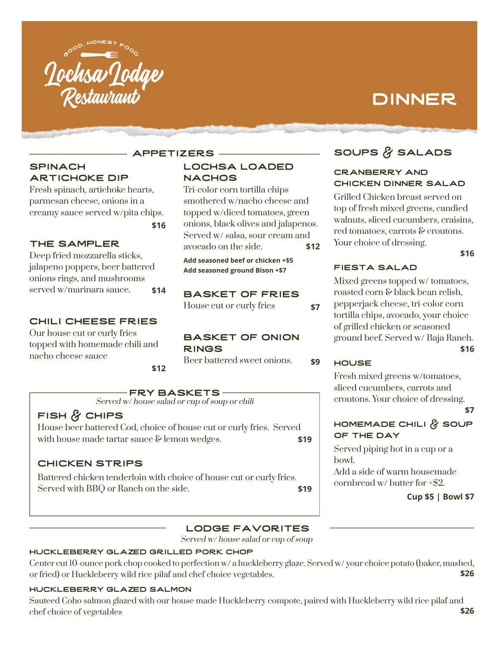

# dinner

# **SPINACH** artichoke dip

Fresh spinach, artichoke hearts, parmesan cheese, onions in a creamy sauce served w/pita chips.

# The Sampler

Deep fried mozzarella sticks, jalapeno poppers, beer battered onions rings, and mushrooms served w/marinara sauce. **\$14**

#### Chili Cheese Fries

Our house cut or curly fries topped with homemade chili and nacho cheese sauce

**\$12**

**\$16**

**APPETIZERS -**

# lochsa loaded **NACHOS**

Tri-color corn tortilla chips smothered w/nacho cheese and topped w/diced tomatoes, green onions, black olives and jalapenos. Served w/ salsa, sour cream and avocado on the side. **\$12**

**Add seasoned beef or chicken +\$5 Add seasoned ground Bison +\$7**

# Basket of Fries

House cut or curly fries **\$7**

#### basket of onion **RINGS**

Beer battered sweet onions. **\$9**

# FRY BASKETS-

Served w/ house salad or cup of soup or chili

# **FISH & CHIPS**

House beer battered Cod, choice of house cut or curly fries. Served with house made tartar sauce  $\&$  lemon wedges. **\$19** 

# chicken strips

Battered chicken tenderloin with choice of house cut or curly fries. Served with BBQ or Ranch on the side. **\$19**

# soups & Salads

#### Cranberry and Chicken dinner salad

Grilled Chicken breast served on top of fresh mixed greens, candied walnuts, sliced cucumbers, craisins, red tomatoes, carrots & croutons. Your choice of dressing.

**\$16**

# FIESTa Salad

Mixed greens topped w/ tomatoes, roasted corn & black bean relish, pepperjack cheese, tri-color corn tortilla chips, avocado, your choice of grilled chicken or seasoned ground beef. Served w/ Baja Ranch.

#### **\$16**

#### **HOUSE**

Fresh mixed greens w/tomatoes, sliced cucumbers, carrots and croutons. Your choice of dressing.

**\$7**

# homemade Chili & Soup of the Day

Served piping hot in a cup or a bowl.

Add a side of warm housemade cornbread w/ butter for +\$2.

**Cup \$5 | Bowl \$7**

# lodge Favorites

Served w/ house salad or cup of soup

# huckleberry glazed Grilled Pork Chop

Center cut 10-ounce pork chop cooked to perfection w/ a huckleberry glaze. Served w/ your choice potato (baker, mashed, or fried) or Huckleberry wild rice pilaf and chef choice vegetables. **\$26** 

# huckleberry glazed salmon

Sauteed Coho salmon glazed with our house made Huckleberry compote, paired with Huckleberry wild rice pilaf and chef choice of vegetables **\$26**